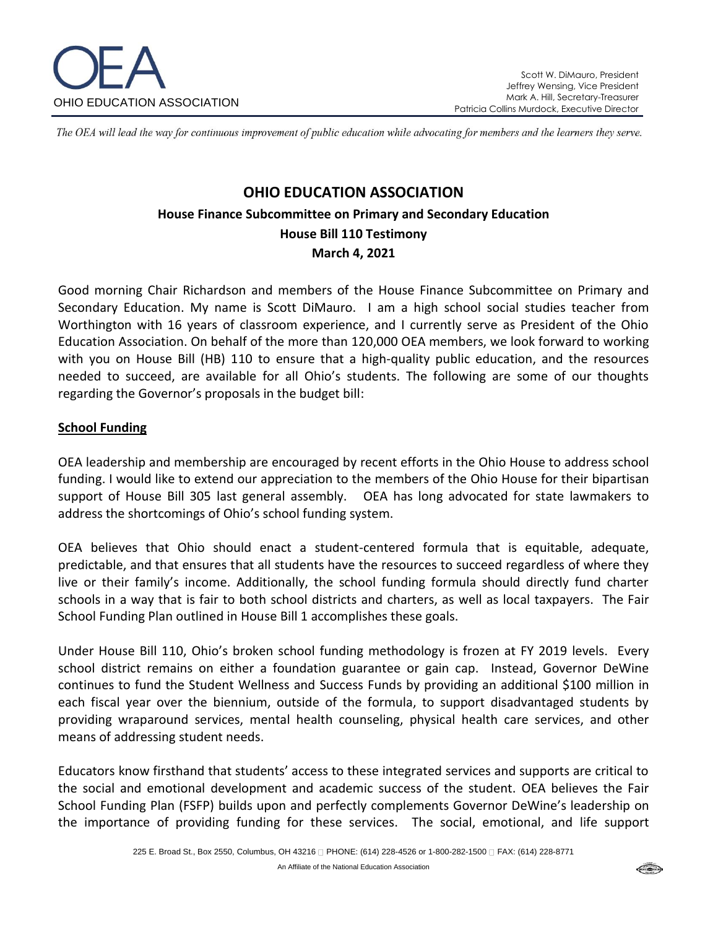

The OEA will lead the way for continuous improvement of public education while advocating for members and the learners they serve.

# **OHIO EDUCATION ASSOCIATION House Finance Subcommittee on Primary and Secondary Education House Bill 110 Testimony March 4, 2021**

Good morning Chair Richardson and members of the House Finance Subcommittee on Primary and Secondary Education. My name is Scott DiMauro. I am a high school social studies teacher from Worthington with 16 years of classroom experience, and I currently serve as President of the Ohio Education Association. On behalf of the more than 120,000 OEA members, we look forward to working with you on House Bill (HB) 110 to ensure that a high-quality public education, and the resources needed to succeed, are available for all Ohio's students. The following are some of our thoughts regarding the Governor's proposals in the budget bill:

#### **School Funding**

OEA leadership and membership are encouraged by recent efforts in the Ohio House to address school funding. I would like to extend our appreciation to the members of the Ohio House for their bipartisan support of House Bill 305 last general assembly. OEA has long advocated for state lawmakers to address the shortcomings of Ohio's school funding system.

OEA believes that Ohio should enact a student-centered formula that is equitable, adequate, predictable, and that ensures that all students have the resources to succeed regardless of where they live or their family's income. Additionally, the school funding formula should directly fund charter schools in a way that is fair to both school districts and charters, as well as local taxpayers. The Fair School Funding Plan outlined in House Bill 1 accomplishes these goals.

Under House Bill 110, Ohio's broken school funding methodology is frozen at FY 2019 levels. Every school district remains on either a foundation guarantee or gain cap. Instead, Governor DeWine continues to fund the Student Wellness and Success Funds by providing an additional \$100 million in each fiscal year over the biennium, outside of the formula, to support disadvantaged students by providing wraparound services, mental health counseling, physical health care services, and other means of addressing student needs.

Educators know firsthand that students' access to these integrated services and supports are critical to the social and emotional development and academic success of the student. OEA believes the Fair School Funding Plan (FSFP) builds upon and perfectly complements Governor DeWine's leadership on the importance of providing funding for these services. The social, emotional, and life support

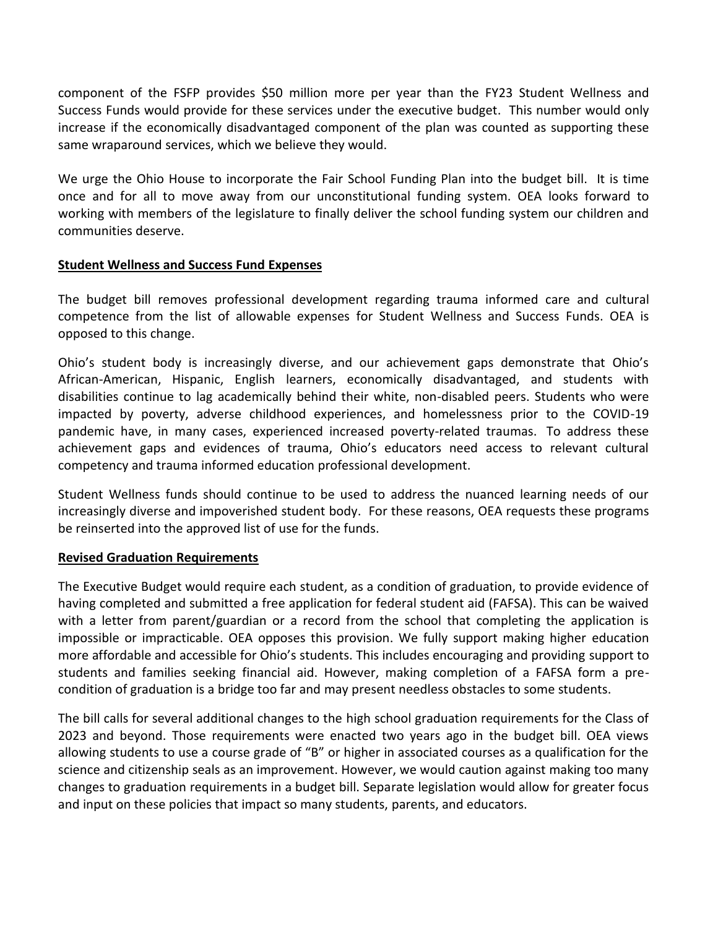component of the FSFP provides \$50 million more per year than the FY23 Student Wellness and Success Funds would provide for these services under the executive budget. This number would only increase if the economically disadvantaged component of the plan was counted as supporting these same wraparound services, which we believe they would.

We urge the Ohio House to incorporate the Fair School Funding Plan into the budget bill. It is time once and for all to move away from our unconstitutional funding system. OEA looks forward to working with members of the legislature to finally deliver the school funding system our children and communities deserve.

### **Student Wellness and Success Fund Expenses**

The budget bill removes professional development regarding trauma informed care and cultural competence from the list of allowable expenses for Student Wellness and Success Funds. OEA is opposed to this change.

Ohio's student body is increasingly diverse, and our achievement gaps demonstrate that Ohio's African-American, Hispanic, English learners, economically disadvantaged, and students with disabilities continue to lag academically behind their white, non-disabled peers. Students who were impacted by poverty, adverse childhood experiences, and homelessness prior to the COVID-19 pandemic have, in many cases, experienced increased poverty-related traumas. To address these achievement gaps and evidences of trauma, Ohio's educators need access to relevant cultural competency and trauma informed education professional development.

Student Wellness funds should continue to be used to address the nuanced learning needs of our increasingly diverse and impoverished student body. For these reasons, OEA requests these programs be reinserted into the approved list of use for the funds.

### **Revised Graduation Requirements**

The Executive Budget would require each student, as a condition of graduation, to provide evidence of having completed and submitted a free application for federal student aid (FAFSA). This can be waived with a letter from parent/guardian or a record from the school that completing the application is impossible or impracticable. OEA opposes this provision. We fully support making higher education more affordable and accessible for Ohio's students. This includes encouraging and providing support to students and families seeking financial aid. However, making completion of a FAFSA form a precondition of graduation is a bridge too far and may present needless obstacles to some students.

The bill calls for several additional changes to the high school graduation requirements for the Class of 2023 and beyond. Those requirements were enacted two years ago in the budget bill. OEA views allowing students to use a course grade of "B" or higher in associated courses as a qualification for the science and citizenship seals as an improvement. However, we would caution against making too many changes to graduation requirements in a budget bill. Separate legislation would allow for greater focus and input on these policies that impact so many students, parents, and educators.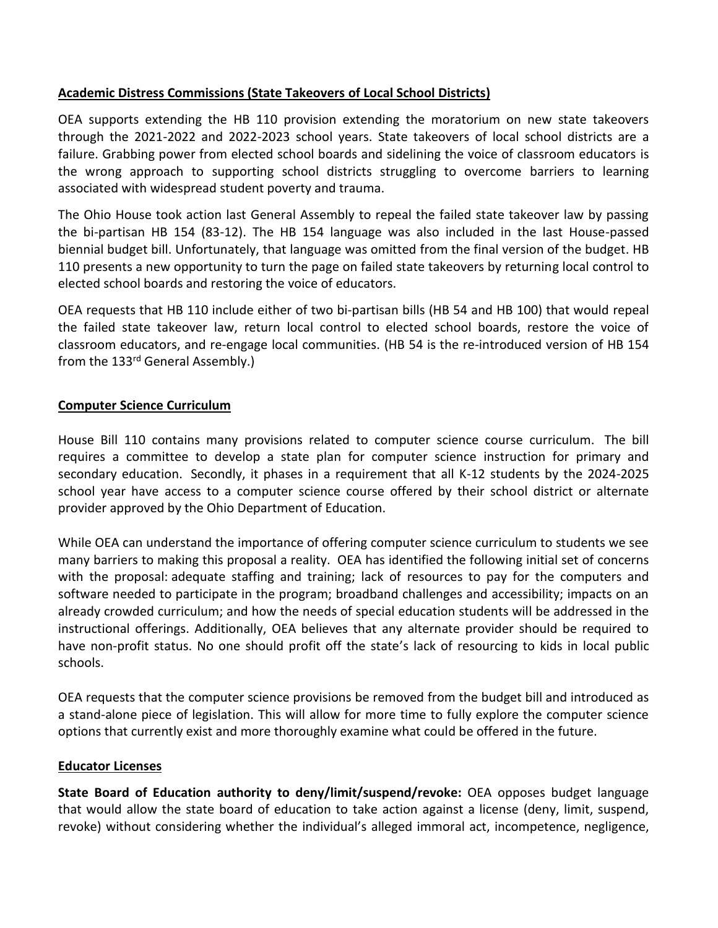# **Academic Distress Commissions (State Takeovers of Local School Districts)**

OEA supports extending the HB 110 provision extending the moratorium on new state takeovers through the 2021-2022 and 2022-2023 school years. State takeovers of local school districts are a failure. Grabbing power from elected school boards and sidelining the voice of classroom educators is the wrong approach to supporting school districts struggling to overcome barriers to learning associated with widespread student poverty and trauma.

The Ohio House took action last General Assembly to repeal the failed state takeover law by passing the bi-partisan HB 154 (83-12). The HB 154 language was also included in the last House-passed biennial budget bill. Unfortunately, that language was omitted from the final version of the budget. HB 110 presents a new opportunity to turn the page on failed state takeovers by returning local control to elected school boards and restoring the voice of educators.

OEA requests that HB 110 include either of two bi-partisan bills (HB 54 and HB 100) that would repeal the failed state takeover law, return local control to elected school boards, restore the voice of classroom educators, and re-engage local communities. (HB 54 is the re-introduced version of HB 154 from the 133<sup>rd</sup> General Assembly.)

## **Computer Science Curriculum**

House Bill 110 contains many provisions related to computer science course curriculum. The bill requires a committee to develop a state plan for computer science instruction for primary and secondary education. Secondly, it phases in a requirement that all K-12 students by the 2024-2025 school year have access to a computer science course offered by their school district or alternate provider approved by the Ohio Department of Education.

While OEA can understand the importance of offering computer science curriculum to students we see many barriers to making this proposal a reality. OEA has identified the following initial set of concerns with the proposal: adequate staffing and training; lack of resources to pay for the computers and software needed to participate in the program; broadband challenges and accessibility; impacts on an already crowded curriculum; and how the needs of special education students will be addressed in the instructional offerings. Additionally, OEA believes that any alternate provider should be required to have non-profit status. No one should profit off the state's lack of resourcing to kids in local public schools.

OEA requests that the computer science provisions be removed from the budget bill and introduced as a stand-alone piece of legislation. This will allow for more time to fully explore the computer science options that currently exist and more thoroughly examine what could be offered in the future.

### **Educator Licenses**

**State Board of Education authority to deny/limit/suspend/revoke:** OEA opposes budget language that would allow the state board of education to take action against a license (deny, limit, suspend, revoke) without considering whether the individual's alleged immoral act, incompetence, negligence,